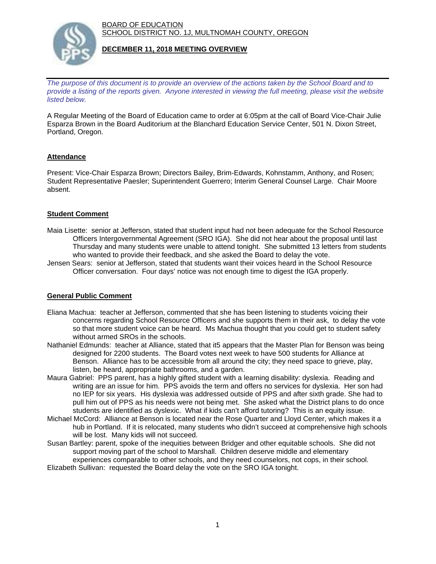BOARD OF EDUCATION SCHOOL DISTRICT NO. 1J, MULTNOMAH COUNTY, OREGON



## **DECEMBER 11, 2018 MEETING OVERVIEW**

*The purpose of this document is to provide an overview of the actions taken by the School Board and to provide a listing of the reports given. Anyone interested in viewing the full meeting, please visit the website listed below.*

A Regular Meeting of the Board of Education came to order at 6:05pm at the call of Board Vice-Chair Julie Esparza Brown in the Board Auditorium at the Blanchard Education Service Center, 501 N. Dixon Street, Portland, Oregon.

# **Attendance**

Present: Vice-Chair Esparza Brown; Directors Bailey, Brim-Edwards, Kohnstamm, Anthony, and Rosen; Student Representative Paesler; Superintendent Guerrero; Interim General Counsel Large. Chair Moore absent.

## **Student Comment**

- Maia Lisette: senior at Jefferson, stated that student input had not been adequate for the School Resource Officers Intergovernmental Agreement (SRO IGA). She did not hear about the proposal until last Thursday and many students were unable to attend tonight. She submitted 13 letters from students who wanted to provide their feedback, and she asked the Board to delay the vote.
- Jensen Sears: senior at Jefferson, stated that students want their voices heard in the School Resource Officer conversation. Four days' notice was not enough time to digest the IGA properly.

## **General Public Comment**

- Eliana Machua: teacher at Jefferson, commented that she has been listening to students voicing their concerns regarding School Resource Officers and she supports them in their ask, to delay the vote so that more student voice can be heard. Ms Machua thought that you could get to student safety without armed SROs in the schools.
- Nathaniel Edmunds: teacher at Alliance, stated that it5 appears that the Master Plan for Benson was being designed for 2200 students. The Board votes next week to have 500 students for Alliance at Benson. Alliance has to be accessible from all around the city; they need space to grieve, play, listen, be heard, appropriate bathrooms, and a garden.
- Maura Gabriel: PPS parent, has a highly gifted student with a learning disability: dyslexia. Reading and writing are an issue for him. PPS avoids the term and offers no services for dyslexia. Her son had no IEP for six years. His dyslexia was addressed outside of PPS and after sixth grade. She had to pull him out of PPS as his needs were not being met. She asked what the District plans to do once students are identified as dyslexic. What if kids can't afford tutoring? This is an equity issue.
- Michael McCord: Alliance at Benson is located near the Rose Quarter and Lloyd Center, which makes it a hub in Portland. If it is relocated, many students who didn't succeed at comprehensive high schools will be lost. Many kids will not succeed.
- Susan Bartley: parent, spoke of the inequities between Bridger and other equitable schools. She did not support moving part of the school to Marshall. Children deserve middle and elementary experiences comparable to other schools, and they need counselors, not cops, in their school.
- Elizabeth Sullivan: requested the Board delay the vote on the SRO IGA tonight.